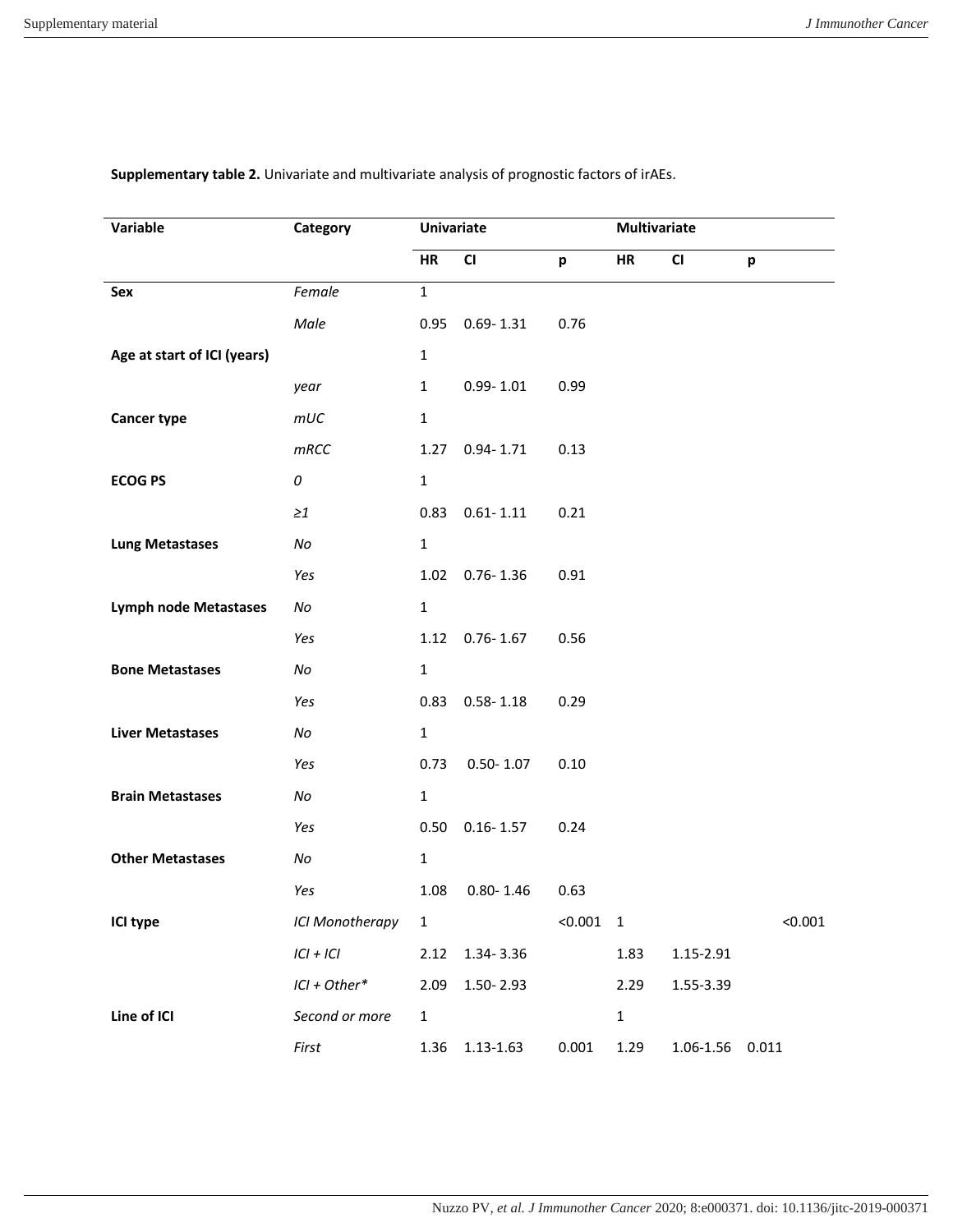| Variable                     | Category        | <b>Univariate</b> |               |         | Multivariate   |                  |         |  |
|------------------------------|-----------------|-------------------|---------------|---------|----------------|------------------|---------|--|
|                              |                 | <b>HR</b>         | CI            | p       | HR             | CI               | p       |  |
| Sex                          | Female          | $\mathbf{1}$      |               |         |                |                  |         |  |
|                              | Male            | 0.95              | $0.69 - 1.31$ | 0.76    |                |                  |         |  |
| Age at start of ICI (years)  |                 | $\mathbf 1$       |               |         |                |                  |         |  |
|                              | year            | $\mathbf{1}$      | $0.99 - 1.01$ | 0.99    |                |                  |         |  |
| <b>Cancer type</b>           | mUC             | $\mathbf{1}$      |               |         |                |                  |         |  |
|                              | mRCC            | 1.27              | $0.94 - 1.71$ | 0.13    |                |                  |         |  |
| <b>ECOG PS</b>               | 0               | $\mathbf{1}$      |               |         |                |                  |         |  |
|                              | $\geq 1$        | 0.83              | $0.61 - 1.11$ | 0.21    |                |                  |         |  |
| <b>Lung Metastases</b>       | No              | $\mathbf{1}$      |               |         |                |                  |         |  |
|                              | Yes             | 1.02              | $0.76 - 1.36$ | 0.91    |                |                  |         |  |
| <b>Lymph node Metastases</b> | No              | $\mathbf{1}$      |               |         |                |                  |         |  |
|                              | Yes             | 1.12              | $0.76 - 1.67$ | 0.56    |                |                  |         |  |
| <b>Bone Metastases</b>       | No              | $\mathbf{1}$      |               |         |                |                  |         |  |
|                              | Yes             | 0.83              | $0.58 - 1.18$ | 0.29    |                |                  |         |  |
| <b>Liver Metastases</b>      | No              | $\mathbf 1$       |               |         |                |                  |         |  |
|                              | Yes             | 0.73              | $0.50 - 1.07$ | 0.10    |                |                  |         |  |
| <b>Brain Metastases</b>      | No              | $\mathbf 1$       |               |         |                |                  |         |  |
|                              | Yes             | 0.50              | $0.16 - 1.57$ | 0.24    |                |                  |         |  |
| <b>Other Metastases</b>      | No              | $\mathbf{1}$      |               |         |                |                  |         |  |
|                              | Yes             | 1.08              | $0.80 - 1.46$ | 0.63    |                |                  |         |  |
| ICI type                     | ICI Monotherapy | $\mathbf{1}$      |               | < 0.001 | $\overline{1}$ |                  | < 0.001 |  |
|                              | $ CI + IC $     | 2.12              | 1.34-3.36     |         | 1.83           | 1.15-2.91        |         |  |
|                              | $ICI + Other*$  | 2.09              | 1.50-2.93     |         | 2.29           | 1.55-3.39        |         |  |
| Line of ICI                  | Second or more  | $\mathbf{1}$      |               |         | $\mathbf 1$    |                  |         |  |
|                              | First           | 1.36              | 1.13-1.63     | 0.001   | 1.29           | 1.06-1.56  0.011 |         |  |

## **Supplementary table 2.** Univariate and multivariate analysis of prognostic factors of irAEs.